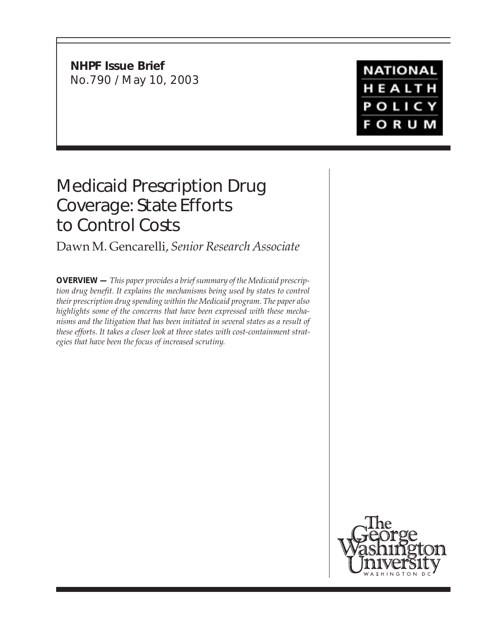**NHPF Issue Brief** No.790 / May 10, 2003

**NATIONAL** HEALTH POLICY **FORUM** 

# Medicaid Prescription Drug Coverage: State Efforts to Control Costs

Dawn M. Gencarelli, *Senior Research Associate*

**OVERVIEW —** *This paper provides a brief summary of the Medicaid prescription drug benefit. It explains the mechanisms being used by states to control their prescription drug spending within the Medicaid program. The paper also highlights some of the concerns that have been expressed with these mechanisms and the litigation that has been initiated in several states as a result of these efforts. It takes a closer look at three states with cost-containment strategies that have been the focus of increased scrutiny.*

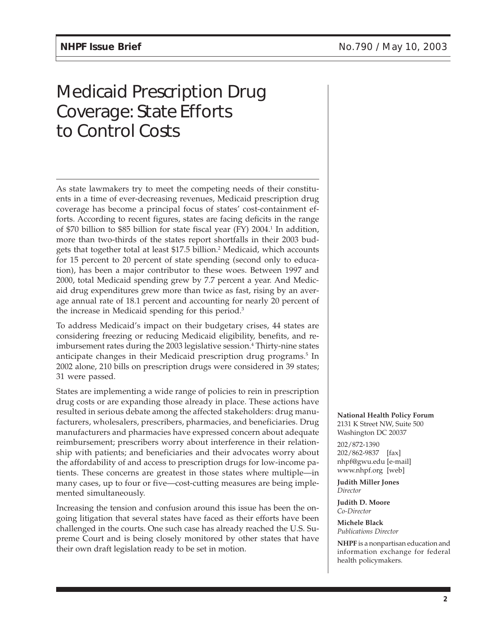# Medicaid Prescription Drug Coverage: State Efforts to Control Costs

As state lawmakers try to meet the competing needs of their constituents in a time of ever-decreasing revenues, Medicaid prescription drug coverage has become a principal focus of states' cost-containment efforts. According to recent figures, states are facing deficits in the range of \$70 billion to \$85 billion for state fiscal year (FY) 2004.1 In addition, more than two-thirds of the states report shortfalls in their 2003 budgets that together total at least \$17.5 billion.2 Medicaid, which accounts for 15 percent to 20 percent of state spending (second only to education), has been a major contributor to these woes. Between 1997 and 2000, total Medicaid spending grew by 7.7 percent a year. And Medicaid drug expenditures grew more than twice as fast, rising by an average annual rate of 18.1 percent and accounting for nearly 20 percent of the increase in Medicaid spending for this period.<sup>3</sup>

To address Medicaid's impact on their budgetary crises, 44 states are considering freezing or reducing Medicaid eligibility, benefits, and reimbursement rates during the 2003 legislative session.<sup>4</sup> Thirty-nine states anticipate changes in their Medicaid prescription drug programs.<sup>5</sup> In 2002 alone, 210 bills on prescription drugs were considered in 39 states; 31 were passed.

States are implementing a wide range of policies to rein in prescription drug costs or are expanding those already in place. These actions have resulted in serious debate among the affected stakeholders: drug manufacturers, wholesalers, prescribers, pharmacies, and beneficiaries. Drug manufacturers and pharmacies have expressed concern about adequate reimbursement; prescribers worry about interference in their relationship with patients; and beneficiaries and their advocates worry about the affordability of and access to prescription drugs for low-income patients. These concerns are greatest in those states where multiple—in many cases, up to four or five—cost-cutting measures are being implemented simultaneously.

Increasing the tension and confusion around this issue has been the ongoing litigation that several states have faced as their efforts have been challenged in the courts. One such case has already reached the U.S. Supreme Court and is being closely monitored by other states that have their own draft legislation ready to be set in motion.

**National Health Policy Forum** 2131 K Street NW, Suite 500 Washington DC 20037

202/872-1390 202/862-9837 [fax] nhpf@gwu.edu [e-mail] www.nhpf.org [web]

**Judith Miller Jones** *Director*

**Judith D. Moore** *Co-Director*

**Michele Black** *Publications Director*

**NHPF** is a nonpartisan education and information exchange for federal health policymakers.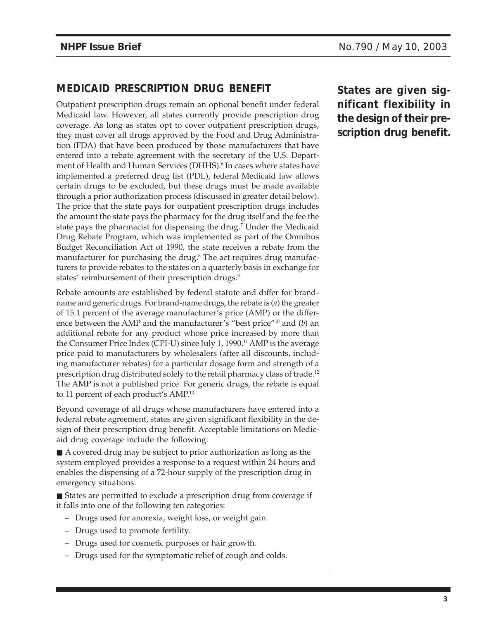# **MEDICAID PRESCRIPTION DRUG BENEFIT**

Outpatient prescription drugs remain an optional benefit under federal Medicaid law. However, all states currently provide prescription drug coverage. As long as states opt to cover outpatient prescription drugs, they must cover all drugs approved by the Food and Drug Administration (FDA) that have been produced by those manufacturers that have entered into a rebate agreement with the secretary of the U.S. Department of Health and Human Services (DHHS).<sup>6</sup> In cases where states have implemented a preferred drug list (PDL), federal Medicaid law allows certain drugs to be excluded, but these drugs must be made available through a prior authorization process (discussed in greater detail below). The price that the state pays for outpatient prescription drugs includes the amount the state pays the pharmacy for the drug itself and the fee the state pays the pharmacist for dispensing the drug.7 Under the Medicaid Drug Rebate Program, which was implemented as part of the Omnibus Budget Reconciliation Act of 1990, the state receives a rebate from the manufacturer for purchasing the drug.<sup>8</sup> The act requires drug manufacturers to provide rebates to the states on a quarterly basis in exchange for states' reimbursement of their prescription drugs.<sup>9</sup>

Rebate amounts are established by federal statute and differ for brandname and generic drugs. For brand-name drugs, the rebate is (*a*) the greater of 15.1 percent of the average manufacturer's price (AMP) or the difference between the AMP and the manufacturer's "best price"10 and (*b*) an additional rebate for any product whose price increased by more than the Consumer Price Index (CPI-U) since July 1, 1990.<sup>11</sup> AMP is the average price paid to manufacturers by wholesalers (after all discounts, including manufacturer rebates) for a particular dosage form and strength of a prescription drug distributed solely to the retail pharmacy class of trade.12 The AMP is not a published price. For generic drugs, the rebate is equal to 11 percent of each product's AMP.13

Beyond coverage of all drugs whose manufacturers have entered into a federal rebate agreement, states are given significant flexibility in the design of their prescription drug benefit. Acceptable limitations on Medicaid drug coverage include the following:

■ A covered drug may be subject to prior authorization as long as the system employed provides a response to a request within 24 hours and enables the dispensing of a 72-hour supply of the prescription drug in emergency situations.

■ States are permitted to exclude a prescription drug from coverage if it falls into one of the following ten categories:

- Drugs used for anorexia, weight loss, or weight gain.
- Drugs used to promote fertility.
- Drugs used for cosmetic purposes or hair growth.
- Drugs used for the symptomatic relief of cough and colds.

**States are given significant flexibility in the design of their prescription drug benefit.**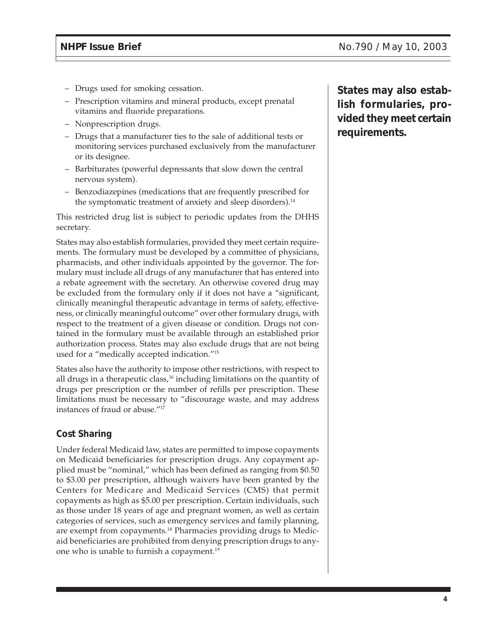- Drugs used for smoking cessation.
- Prescription vitamins and mineral products, except prenatal vitamins and fluoride preparations.
- Nonprescription drugs.
- Drugs that a manufacturer ties to the sale of additional tests or monitoring services purchased exclusively from the manufacturer or its designee.
- Barbiturates (powerful depressants that slow down the central nervous system).
- Benzodiazepines (medications that are frequently prescribed for the symptomatic treatment of anxiety and sleep disorders).<sup>14</sup>

This restricted drug list is subject to periodic updates from the DHHS secretary.

States may also establish formularies, provided they meet certain requirements. The formulary must be developed by a committee of physicians, pharmacists, and other individuals appointed by the governor. The formulary must include all drugs of any manufacturer that has entered into a rebate agreement with the secretary. An otherwise covered drug may be excluded from the formulary only if it does not have a "significant, clinically meaningful therapeutic advantage in terms of safety, effectiveness, or clinically meaningful outcome" over other formulary drugs, with respect to the treatment of a given disease or condition. Drugs not contained in the formulary must be available through an established prior authorization process. States may also exclude drugs that are not being used for a "medically accepted indication."15

States also have the authority to impose other restrictions, with respect to all drugs in a therapeutic class,<sup>16</sup> including limitations on the quantity of drugs per prescription or the number of refills per prescription. These limitations must be necessary to "discourage waste, and may address instances of fraud or abuse."17

## **Cost Sharing**

Under federal Medicaid law, states are permitted to impose copayments on Medicaid beneficiaries for prescription drugs. Any copayment applied must be "nominal," which has been defined as ranging from \$0.50 to \$3.00 per prescription, although waivers have been granted by the Centers for Medicare and Medicaid Services (CMS) that permit copayments as high as \$5.00 per prescription. Certain individuals, such as those under 18 years of age and pregnant women, as well as certain categories of services, such as emergency services and family planning, are exempt from copayments.18 Pharmacies providing drugs to Medicaid beneficiaries are prohibited from denying prescription drugs to anyone who is unable to furnish a copayment.<sup>19</sup>

**States may also establish formularies, provided they meet certain requirements.**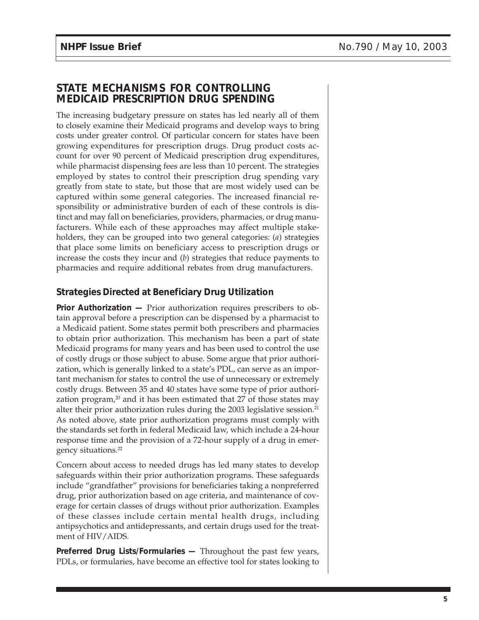# **STATE MECHANISMS FOR CONTROLLING MEDICAID PRESCRIPTION DRUG SPENDING**

The increasing budgetary pressure on states has led nearly all of them to closely examine their Medicaid programs and develop ways to bring costs under greater control. Of particular concern for states have been growing expenditures for prescription drugs. Drug product costs account for over 90 percent of Medicaid prescription drug expenditures, while pharmacist dispensing fees are less than 10 percent. The strategies employed by states to control their prescription drug spending vary greatly from state to state, but those that are most widely used can be captured within some general categories. The increased financial responsibility or administrative burden of each of these controls is distinct and may fall on beneficiaries, providers, pharmacies, or drug manufacturers. While each of these approaches may affect multiple stakeholders, they can be grouped into two general categories: (*a*) strategies that place some limits on beneficiary access to prescription drugs or increase the costs they incur and (*b*) strategies that reduce payments to pharmacies and require additional rebates from drug manufacturers.

## **Strategies Directed at Beneficiary Drug Utilization**

**Prior Authorization —** Prior authorization requires prescribers to obtain approval before a prescription can be dispensed by a pharmacist to a Medicaid patient. Some states permit both prescribers and pharmacies to obtain prior authorization. This mechanism has been a part of state Medicaid programs for many years and has been used to control the use of costly drugs or those subject to abuse. Some argue that prior authorization, which is generally linked to a state's PDL, can serve as an important mechanism for states to control the use of unnecessary or extremely costly drugs. Between 35 and 40 states have some type of prior authorization program, $20$  and it has been estimated that 27 of those states may alter their prior authorization rules during the 2003 legislative session.<sup>21</sup> As noted above, state prior authorization programs must comply with the standards set forth in federal Medicaid law, which include a 24-hour response time and the provision of a 72-hour supply of a drug in emergency situations.22

Concern about access to needed drugs has led many states to develop safeguards within their prior authorization programs. These safeguards include "grandfather" provisions for beneficiaries taking a nonpreferred drug, prior authorization based on age criteria, and maintenance of coverage for certain classes of drugs without prior authorization. Examples of these classes include certain mental health drugs, including antipsychotics and antidepressants, and certain drugs used for the treatment of HIV/AIDS.

**Preferred Drug Lists/Formularies —** Throughout the past few years, PDLs, or formularies, have become an effective tool for states looking to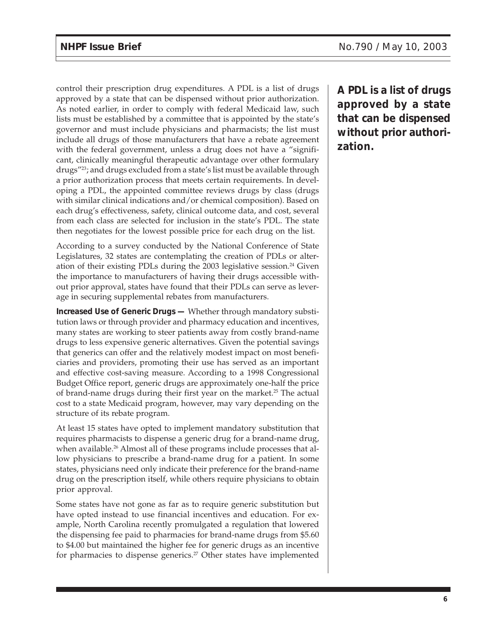control their prescription drug expenditures. A PDL is a list of drugs approved by a state that can be dispensed without prior authorization. As noted earlier, in order to comply with federal Medicaid law, such lists must be established by a committee that is appointed by the state's governor and must include physicians and pharmacists; the list must include all drugs of those manufacturers that have a rebate agreement with the federal government, unless a drug does not have a "significant, clinically meaningful therapeutic advantage over other formulary drugs"23; and drugs excluded from a state's list must be available through a prior authorization process that meets certain requirements. In developing a PDL, the appointed committee reviews drugs by class (drugs with similar clinical indications and/or chemical composition). Based on each drug's effectiveness, safety, clinical outcome data, and cost, several from each class are selected for inclusion in the state's PDL. The state then negotiates for the lowest possible price for each drug on the list.

According to a survey conducted by the National Conference of State Legislatures, 32 states are contemplating the creation of PDLs or alteration of their existing PDLs during the 2003 legislative session.<sup>24</sup> Given the importance to manufacturers of having their drugs accessible without prior approval, states have found that their PDLs can serve as leverage in securing supplemental rebates from manufacturers.

**Increased Use of Generic Drugs —** Whether through mandatory substitution laws or through provider and pharmacy education and incentives, many states are working to steer patients away from costly brand-name drugs to less expensive generic alternatives. Given the potential savings that generics can offer and the relatively modest impact on most beneficiaries and providers, promoting their use has served as an important and effective cost-saving measure. According to a 1998 Congressional Budget Office report, generic drugs are approximately one-half the price of brand-name drugs during their first year on the market.<sup>25</sup> The actual cost to a state Medicaid program, however, may vary depending on the structure of its rebate program.

At least 15 states have opted to implement mandatory substitution that requires pharmacists to dispense a generic drug for a brand-name drug, when available.<sup>26</sup> Almost all of these programs include processes that allow physicians to prescribe a brand-name drug for a patient. In some states, physicians need only indicate their preference for the brand-name drug on the prescription itself, while others require physicians to obtain prior approval.

Some states have not gone as far as to require generic substitution but have opted instead to use financial incentives and education. For example, North Carolina recently promulgated a regulation that lowered the dispensing fee paid to pharmacies for brand-name drugs from \$5.60 to \$4.00 but maintained the higher fee for generic drugs as an incentive for pharmacies to dispense generics.<sup>27</sup> Other states have implemented

**A PDL is a list of drugs approved by a state that can be dispensed without prior authorization.**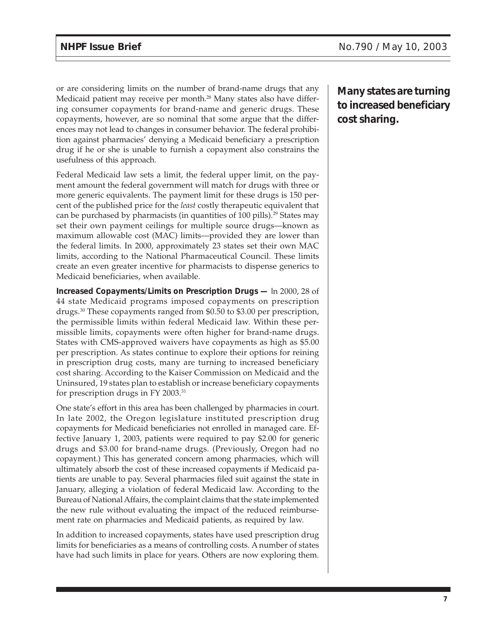or are considering limits on the number of brand-name drugs that any Medicaid patient may receive per month.<sup>28</sup> Many states also have differing consumer copayments for brand-name and generic drugs. These copayments, however, are so nominal that some argue that the differences may not lead to changes in consumer behavior. The federal prohibition against pharmacies' denying a Medicaid beneficiary a prescription drug if he or she is unable to furnish a copayment also constrains the usefulness of this approach.

Federal Medicaid law sets a limit, the federal upper limit, on the payment amount the federal government will match for drugs with three or more generic equivalents. The payment limit for these drugs is 150 percent of the published price for the *least* costly therapeutic equivalent that can be purchased by pharmacists (in quantities of 100 pills).<sup>29</sup> States may set their own payment ceilings for multiple source drugs—known as maximum allowable cost (MAC) limits—provided they are lower than the federal limits. In 2000, approximately 23 states set their own MAC limits, according to the National Pharmaceutical Council. These limits create an even greater incentive for pharmacists to dispense generics to Medicaid beneficiaries, when available.

**Increased Copayments/Limits on Prescription Drugs —** In 2000, 28 of 44 state Medicaid programs imposed copayments on prescription drugs.30 These copayments ranged from \$0.50 to \$3.00 per prescription, the permissible limits within federal Medicaid law. Within these permissible limits, copayments were often higher for brand-name drugs. States with CMS-approved waivers have copayments as high as \$5.00 per prescription. As states continue to explore their options for reining in prescription drug costs, many are turning to increased beneficiary cost sharing. According to the Kaiser Commission on Medicaid and the Uninsured, 19 states plan to establish or increase beneficiary copayments for prescription drugs in FY 2003.31

One state's effort in this area has been challenged by pharmacies in court. In late 2002, the Oregon legislature instituted prescription drug copayments for Medicaid beneficiaries not enrolled in managed care. Effective January 1, 2003, patients were required to pay \$2.00 for generic drugs and \$3.00 for brand-name drugs. (Previously, Oregon had no copayment.) This has generated concern among pharmacies, which will ultimately absorb the cost of these increased copayments if Medicaid patients are unable to pay. Several pharmacies filed suit against the state in January, alleging a violation of federal Medicaid law. According to the Bureau of National Affairs, the complaint claims that the state implemented the new rule without evaluating the impact of the reduced reimbursement rate on pharmacies and Medicaid patients, as required by law.

In addition to increased copayments, states have used prescription drug limits for beneficiaries as a means of controlling costs. A number of states have had such limits in place for years. Others are now exploring them.

**Many states are turning to increased beneficiary cost sharing.**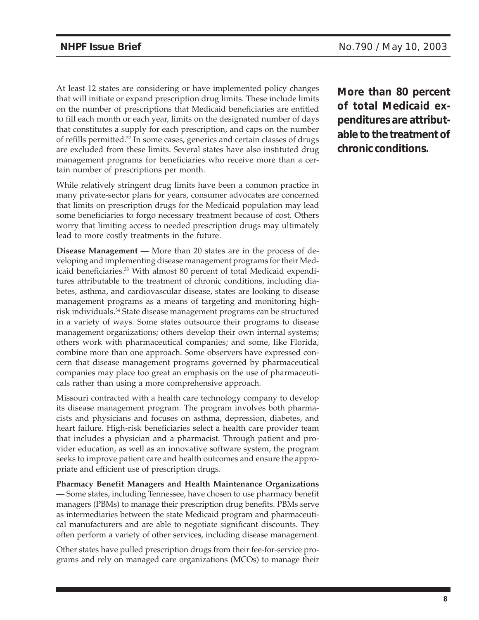At least 12 states are considering or have implemented policy changes that will initiate or expand prescription drug limits. These include limits on the number of prescriptions that Medicaid beneficiaries are entitled to fill each month or each year, limits on the designated number of days that constitutes a supply for each prescription, and caps on the number of refills permitted.32 In some cases, generics and certain classes of drugs are excluded from these limits. Several states have also instituted drug management programs for beneficiaries who receive more than a certain number of prescriptions per month.

While relatively stringent drug limits have been a common practice in many private-sector plans for years, consumer advocates are concerned that limits on prescription drugs for the Medicaid population may lead some beneficiaries to forgo necessary treatment because of cost. Others worry that limiting access to needed prescription drugs may ultimately lead to more costly treatments in the future.

**Disease Management —** More than 20 states are in the process of developing and implementing disease management programs for their Medicaid beneficiaries.<sup>33</sup> With almost 80 percent of total Medicaid expenditures attributable to the treatment of chronic conditions, including diabetes, asthma, and cardiovascular disease, states are looking to disease management programs as a means of targeting and monitoring highrisk individuals.34 State disease management programs can be structured in a variety of ways. Some states outsource their programs to disease management organizations; others develop their own internal systems; others work with pharmaceutical companies; and some, like Florida, combine more than one approach. Some observers have expressed concern that disease management programs governed by pharmaceutical companies may place too great an emphasis on the use of pharmaceuticals rather than using a more comprehensive approach.

Missouri contracted with a health care technology company to develop its disease management program. The program involves both pharmacists and physicians and focuses on asthma, depression, diabetes, and heart failure. High-risk beneficiaries select a health care provider team that includes a physician and a pharmacist. Through patient and provider education, as well as an innovative software system, the program seeks to improve patient care and health outcomes and ensure the appropriate and efficient use of prescription drugs.

**Pharmacy Benefit Managers and Health Maintenance Organizations —** Some states, including Tennessee, have chosen to use pharmacy benefit managers (PBMs) to manage their prescription drug benefits. PBMs serve as intermediaries between the state Medicaid program and pharmaceutical manufacturers and are able to negotiate significant discounts. They often perform a variety of other services, including disease management.

Other states have pulled prescription drugs from their fee-for-service programs and rely on managed care organizations (MCOs) to manage their **More than 80 percent of total Medicaid expenditures are attributable to the treatment of chronic conditions.**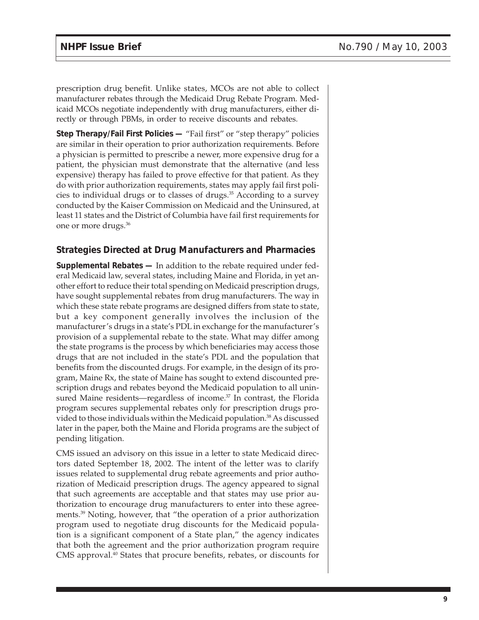prescription drug benefit. Unlike states, MCOs are not able to collect manufacturer rebates through the Medicaid Drug Rebate Program. Medicaid MCOs negotiate independently with drug manufacturers, either directly or through PBMs, in order to receive discounts and rebates.

**Step Therapy/Fail First Policies —** "Fail first" or "step therapy" policies are similar in their operation to prior authorization requirements. Before a physician is permitted to prescribe a newer, more expensive drug for a patient, the physician must demonstrate that the alternative (and less expensive) therapy has failed to prove effective for that patient. As they do with prior authorization requirements, states may apply fail first policies to individual drugs or to classes of drugs.35 According to a survey conducted by the Kaiser Commission on Medicaid and the Uninsured, at least 11 states and the District of Columbia have fail first requirements for one or more drugs.36

#### **Strategies Directed at Drug Manufacturers and Pharmacies**

**Supplemental Rebates —** In addition to the rebate required under federal Medicaid law, several states, including Maine and Florida, in yet another effort to reduce their total spending on Medicaid prescription drugs, have sought supplemental rebates from drug manufacturers. The way in which these state rebate programs are designed differs from state to state, but a key component generally involves the inclusion of the manufacturer's drugs in a state's PDL in exchange for the manufacturer's provision of a supplemental rebate to the state. What may differ among the state programs is the process by which beneficiaries may access those drugs that are not included in the state's PDL and the population that benefits from the discounted drugs. For example, in the design of its program, Maine Rx, the state of Maine has sought to extend discounted prescription drugs and rebates beyond the Medicaid population to all uninsured Maine residents—regardless of income.<sup>37</sup> In contrast, the Florida program secures supplemental rebates only for prescription drugs provided to those individuals within the Medicaid population.38 As discussed later in the paper, both the Maine and Florida programs are the subject of pending litigation.

CMS issued an advisory on this issue in a letter to state Medicaid directors dated September 18, 2002. The intent of the letter was to clarify issues related to supplemental drug rebate agreements and prior authorization of Medicaid prescription drugs. The agency appeared to signal that such agreements are acceptable and that states may use prior authorization to encourage drug manufacturers to enter into these agreements.39 Noting, however, that "the operation of a prior authorization program used to negotiate drug discounts for the Medicaid population is a significant component of a State plan," the agency indicates that both the agreement and the prior authorization program require CMS approval.<sup>40</sup> States that procure benefits, rebates, or discounts for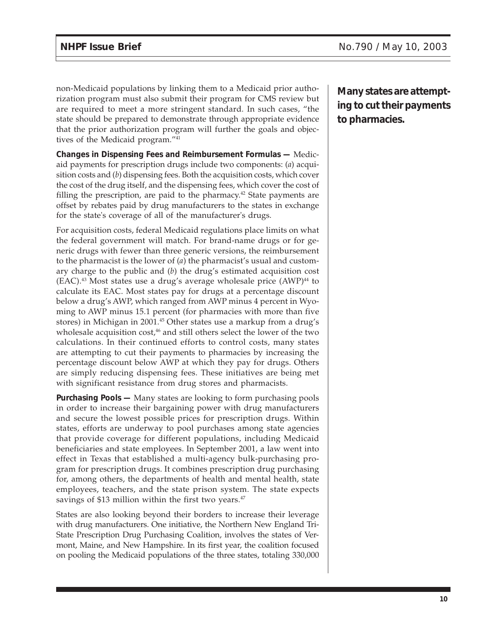non-Medicaid populations by linking them to a Medicaid prior authorization program must also submit their program for CMS review but are required to meet a more stringent standard. In such cases, "the state should be prepared to demonstrate through appropriate evidence that the prior authorization program will further the goals and objectives of the Medicaid program."41

**Changes in Dispensing Fees and Reimbursement Formulas —** Medicaid payments for prescription drugs include two components: (*a*) acquisition costs and (*b*) dispensing fees. Both the acquisition costs, which cover the cost of the drug itself, and the dispensing fees, which cover the cost of filling the prescription, are paid to the pharmacy.<sup>42</sup> State payments are offset by rebates paid by drug manufacturers to the states in exchange for the state's coverage of all of the manufacturer's drugs.

For acquisition costs, federal Medicaid regulations place limits on what the federal government will match. For brand-name drugs or for generic drugs with fewer than three generic versions, the reimbursement to the pharmacist is the lower of (*a*) the pharmacist's usual and customary charge to the public and (*b*) the drug's estimated acquisition cost  $(EAC)^{43}$  Most states use a drug's average wholesale price  $(AWP)^{44}$  to calculate its EAC. Most states pay for drugs at a percentage discount below a drug's AWP, which ranged from AWP minus 4 percent in Wyoming to AWP minus 15.1 percent (for pharmacies with more than five stores) in Michigan in 2001.<sup>45</sup> Other states use a markup from a drug's wholesale acquisition  $cost^{46}$  and still others select the lower of the two calculations. In their continued efforts to control costs, many states are attempting to cut their payments to pharmacies by increasing the percentage discount below AWP at which they pay for drugs. Others are simply reducing dispensing fees. These initiatives are being met with significant resistance from drug stores and pharmacists.

**Purchasing Pools —** Many states are looking to form purchasing pools in order to increase their bargaining power with drug manufacturers and secure the lowest possible prices for prescription drugs. Within states, efforts are underway to pool purchases among state agencies that provide coverage for different populations, including Medicaid beneficiaries and state employees. In September 2001, a law went into effect in Texas that established a multi-agency bulk-purchasing program for prescription drugs. It combines prescription drug purchasing for, among others, the departments of health and mental health, state employees, teachers, and the state prison system. The state expects savings of \$13 million within the first two years.<sup>47</sup>

States are also looking beyond their borders to increase their leverage with drug manufacturers. One initiative, the Northern New England Tri-State Prescription Drug Purchasing Coalition, involves the states of Vermont, Maine, and New Hampshire. In its first year, the coalition focused on pooling the Medicaid populations of the three states, totaling 330,000 **Many states are attempting to cut their payments to pharmacies.**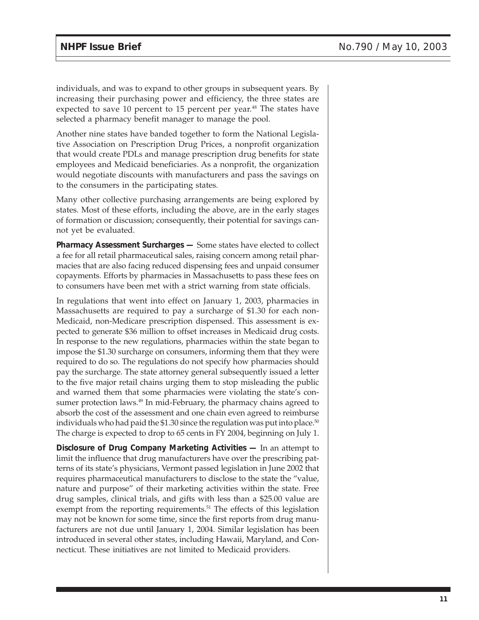individuals, and was to expand to other groups in subsequent years. By increasing their purchasing power and efficiency, the three states are expected to save 10 percent to 15 percent per year.<sup>48</sup> The states have selected a pharmacy benefit manager to manage the pool.

Another nine states have banded together to form the National Legislative Association on Prescription Drug Prices, a nonprofit organization that would create PDLs and manage prescription drug benefits for state employees and Medicaid beneficiaries. As a nonprofit, the organization would negotiate discounts with manufacturers and pass the savings on to the consumers in the participating states.

Many other collective purchasing arrangements are being explored by states. Most of these efforts, including the above, are in the early stages of formation or discussion; consequently, their potential for savings cannot yet be evaluated.

**Pharmacy Assessment Surcharges —** Some states have elected to collect a fee for all retail pharmaceutical sales, raising concern among retail pharmacies that are also facing reduced dispensing fees and unpaid consumer copayments. Efforts by pharmacies in Massachusetts to pass these fees on to consumers have been met with a strict warning from state officials.

In regulations that went into effect on January 1, 2003, pharmacies in Massachusetts are required to pay a surcharge of \$1.30 for each non-Medicaid, non-Medicare prescription dispensed. This assessment is expected to generate \$36 million to offset increases in Medicaid drug costs. In response to the new regulations, pharmacies within the state began to impose the \$1.30 surcharge on consumers, informing them that they were required to do so. The regulations do not specify how pharmacies should pay the surcharge. The state attorney general subsequently issued a letter to the five major retail chains urging them to stop misleading the public and warned them that some pharmacies were violating the state's consumer protection laws.<sup>49</sup> In mid-February, the pharmacy chains agreed to absorb the cost of the assessment and one chain even agreed to reimburse individuals who had paid the \$1.30 since the regulation was put into place.<sup>50</sup> The charge is expected to drop to 65 cents in FY 2004, beginning on July 1.

**Disclosure of Drug Company Marketing Activities —** In an attempt to limit the influence that drug manufacturers have over the prescribing patterns of its state's physicians, Vermont passed legislation in June 2002 that requires pharmaceutical manufacturers to disclose to the state the "value, nature and purpose" of their marketing activities within the state. Free drug samples, clinical trials, and gifts with less than a \$25.00 value are exempt from the reporting requirements.<sup>51</sup> The effects of this legislation may not be known for some time, since the first reports from drug manufacturers are not due until January 1, 2004. Similar legislation has been introduced in several other states, including Hawaii, Maryland, and Connecticut. These initiatives are not limited to Medicaid providers.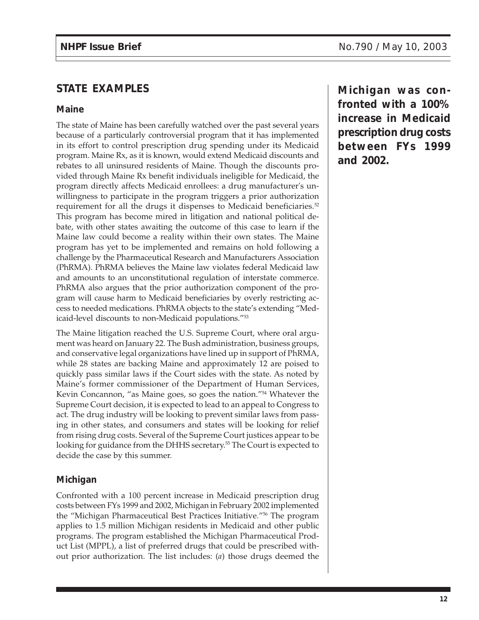# **STATE EXAMPLES**

#### **Maine**

The state of Maine has been carefully watched over the past several years because of a particularly controversial program that it has implemented in its effort to control prescription drug spending under its Medicaid program. Maine Rx, as it is known, would extend Medicaid discounts and rebates to all uninsured residents of Maine. Though the discounts provided through Maine Rx benefit individuals ineligible for Medicaid, the program directly affects Medicaid enrollees: a drug manufacturer's unwillingness to participate in the program triggers a prior authorization requirement for all the drugs it dispenses to Medicaid beneficiaries.<sup>52</sup> This program has become mired in litigation and national political debate, with other states awaiting the outcome of this case to learn if the Maine law could become a reality within their own states. The Maine program has yet to be implemented and remains on hold following a challenge by the Pharmaceutical Research and Manufacturers Association (PhRMA). PhRMA believes the Maine law violates federal Medicaid law and amounts to an unconstitutional regulation of interstate commerce. PhRMA also argues that the prior authorization component of the program will cause harm to Medicaid beneficiaries by overly restricting access to needed medications. PhRMA objects to the state's extending "Medicaid-level discounts to non-Medicaid populations."53

The Maine litigation reached the U.S. Supreme Court, where oral argument was heard on January 22. The Bush administration, business groups, and conservative legal organizations have lined up in support of PhRMA, while 28 states are backing Maine and approximately 12 are poised to quickly pass similar laws if the Court sides with the state. As noted by Maine's former commissioner of the Department of Human Services, Kevin Concannon, "as Maine goes, so goes the nation."54 Whatever the Supreme Court decision, it is expected to lead to an appeal to Congress to act. The drug industry will be looking to prevent similar laws from passing in other states, and consumers and states will be looking for relief from rising drug costs. Several of the Supreme Court justices appear to be looking for guidance from the DHHS secretary.<sup>55</sup> The Court is expected to decide the case by this summer.

## **Michigan**

Confronted with a 100 percent increase in Medicaid prescription drug costs between FYs 1999 and 2002, Michigan in February 2002 implemented the "Michigan Pharmaceutical Best Practices Initiative."56 The program applies to 1.5 million Michigan residents in Medicaid and other public programs. The program established the Michigan Pharmaceutical Product List (MPPL), a list of preferred drugs that could be prescribed without prior authorization. The list includes: (*a*) those drugs deemed the

**Michigan was confronted with a 100% increase in Medicaid prescription drug costs between FYs 1999 and 2002.**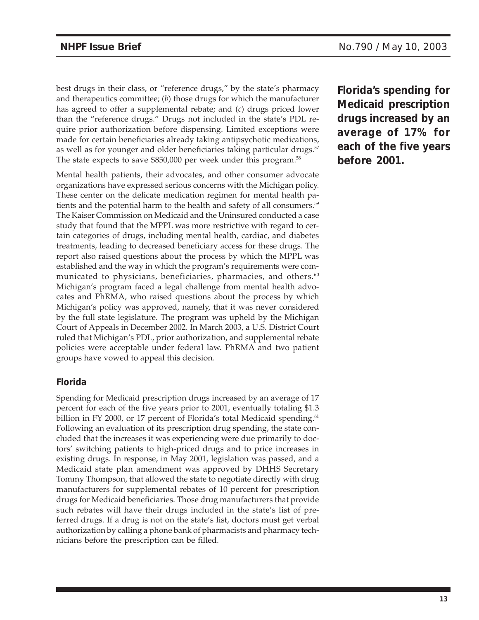best drugs in their class, or "reference drugs," by the state's pharmacy and therapeutics committee; (*b*) those drugs for which the manufacturer has agreed to offer a supplemental rebate; and (*c*) drugs priced lower than the "reference drugs." Drugs not included in the state's PDL require prior authorization before dispensing. Limited exceptions were made for certain beneficiaries already taking antipsychotic medications, as well as for younger and older beneficiaries taking particular drugs.<sup>57</sup> The state expects to save \$850,000 per week under this program.<sup>58</sup>

Mental health patients, their advocates, and other consumer advocate organizations have expressed serious concerns with the Michigan policy. These center on the delicate medication regimen for mental health patients and the potential harm to the health and safety of all consumers.<sup>59</sup> The Kaiser Commission on Medicaid and the Uninsured conducted a case study that found that the MPPL was more restrictive with regard to certain categories of drugs, including mental health, cardiac, and diabetes treatments, leading to decreased beneficiary access for these drugs. The report also raised questions about the process by which the MPPL was established and the way in which the program's requirements were communicated to physicians, beneficiaries, pharmacies, and others.<sup>60</sup> Michigan's program faced a legal challenge from mental health advocates and PhRMA, who raised questions about the process by which Michigan's policy was approved, namely, that it was never considered by the full state legislature. The program was upheld by the Michigan Court of Appeals in December 2002. In March 2003, a U.S. District Court ruled that Michigan's PDL, prior authorization, and supplemental rebate policies were acceptable under federal law. PhRMA and two patient groups have vowed to appeal this decision.

## **Florida**

Spending for Medicaid prescription drugs increased by an average of 17 percent for each of the five years prior to 2001, eventually totaling \$1.3 billion in FY 2000, or 17 percent of Florida's total Medicaid spending.<sup>61</sup> Following an evaluation of its prescription drug spending, the state concluded that the increases it was experiencing were due primarily to doctors' switching patients to high-priced drugs and to price increases in existing drugs. In response, in May 2001, legislation was passed, and a Medicaid state plan amendment was approved by DHHS Secretary Tommy Thompson, that allowed the state to negotiate directly with drug manufacturers for supplemental rebates of 10 percent for prescription drugs for Medicaid beneficiaries. Those drug manufacturers that provide such rebates will have their drugs included in the state's list of preferred drugs. If a drug is not on the state's list, doctors must get verbal authorization by calling a phone bank of pharmacists and pharmacy technicians before the prescription can be filled.

**Florida's spending for Medicaid prescription drugs increased by an average of 17% for each of the five years before 2001.**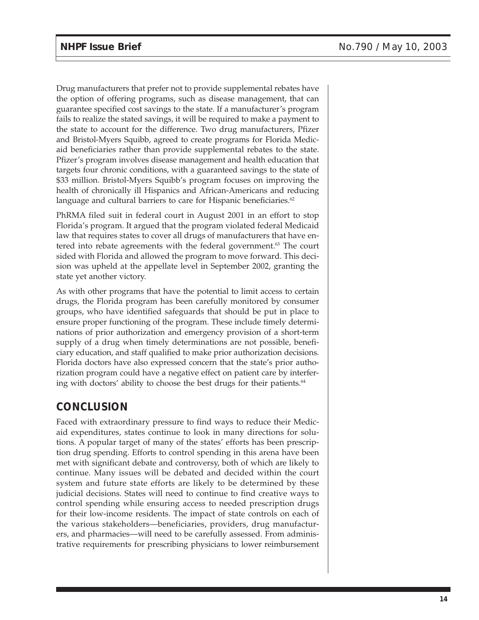Drug manufacturers that prefer not to provide supplemental rebates have the option of offering programs, such as disease management, that can guarantee specified cost savings to the state. If a manufacturer's program fails to realize the stated savings, it will be required to make a payment to the state to account for the difference. Two drug manufacturers, Pfizer and Bristol-Myers Squibb, agreed to create programs for Florida Medicaid beneficiaries rather than provide supplemental rebates to the state. Pfizer's program involves disease management and health education that targets four chronic conditions, with a guaranteed savings to the state of \$33 million. Bristol-Myers Squibb's program focuses on improving the health of chronically ill Hispanics and African-Americans and reducing language and cultural barriers to care for Hispanic beneficiaries.<sup>62</sup>

PhRMA filed suit in federal court in August 2001 in an effort to stop Florida's program. It argued that the program violated federal Medicaid law that requires states to cover all drugs of manufacturers that have entered into rebate agreements with the federal government.<sup>63</sup> The court sided with Florida and allowed the program to move forward. This decision was upheld at the appellate level in September 2002, granting the state yet another victory.

As with other programs that have the potential to limit access to certain drugs, the Florida program has been carefully monitored by consumer groups, who have identified safeguards that should be put in place to ensure proper functioning of the program. These include timely determinations of prior authorization and emergency provision of a short-term supply of a drug when timely determinations are not possible, beneficiary education, and staff qualified to make prior authorization decisions. Florida doctors have also expressed concern that the state's prior authorization program could have a negative effect on patient care by interfering with doctors' ability to choose the best drugs for their patients.<sup>64</sup>

# **CONCLUSION**

Faced with extraordinary pressure to find ways to reduce their Medicaid expenditures, states continue to look in many directions for solutions. A popular target of many of the states' efforts has been prescription drug spending. Efforts to control spending in this arena have been met with significant debate and controversy, both of which are likely to continue. Many issues will be debated and decided within the court system and future state efforts are likely to be determined by these judicial decisions. States will need to continue to find creative ways to control spending while ensuring access to needed prescription drugs for their low-income residents. The impact of state controls on each of the various stakeholders—beneficiaries, providers, drug manufacturers, and pharmacies—will need to be carefully assessed. From administrative requirements for prescribing physicians to lower reimbursement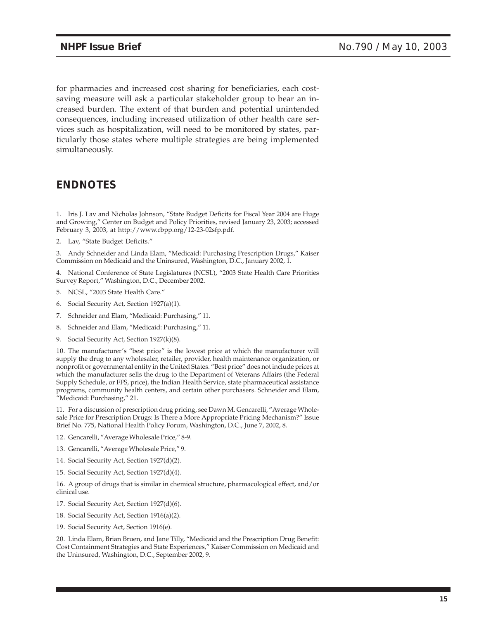for pharmacies and increased cost sharing for beneficiaries, each costsaving measure will ask a particular stakeholder group to bear an increased burden. The extent of that burden and potential unintended consequences, including increased utilization of other health care services such as hospitalization, will need to be monitored by states, particularly those states where multiple strategies are being implemented simultaneously.

# **ENDNOTES**

1. Iris J. Lav and Nicholas Johnson, "State Budget Deficits for Fiscal Year 2004 are Huge and Growing," Center on Budget and Policy Priorities, revised January 23, 2003; accessed February 3, 2003, at http://www.cbpp.org/12-23-02sfp.pdf.

2. Lav, "State Budget Deficits."

3. Andy Schneider and Linda Elam, "Medicaid: Purchasing Prescription Drugs," Kaiser Commission on Medicaid and the Uninsured, Washington, D.C., January 2002, 1.

4. National Conference of State Legislatures (NCSL), "2003 State Health Care Priorities Survey Report," Washington, D.C., December 2002.

- 5. NCSL, "2003 State Health Care."
- 6. Social Security Act, Section 1927(a)(1).
- 7. Schneider and Elam, "Medicaid: Purchasing," 11.
- 8. Schneider and Elam, "Medicaid: Purchasing," 11.
- 9. Social Security Act, Section 1927(k)(8).

10. The manufacturer's "best price" is the lowest price at which the manufacturer will supply the drug to any wholesaler, retailer, provider, health maintenance organization, or nonprofit or governmental entity in the United States. "Best price" does not include prices at which the manufacturer sells the drug to the Department of Veterans Affairs (the Federal Supply Schedule, or FFS, price), the Indian Health Service, state pharmaceutical assistance programs, community health centers, and certain other purchasers. Schneider and Elam, "Medicaid: Purchasing," 21.

11. For a discussion of prescription drug pricing, see Dawn M. Gencarelli, "Average Wholesale Price for Prescription Drugs: Is There a More Appropriate Pricing Mechanism?" Issue Brief No. 775, National Health Policy Forum, Washington, D.C., June 7, 2002, 8.

- 12. Gencarelli, "Average Wholesale Price," 8-9.
- 13. Gencarelli, "Average Wholesale Price," 9.
- 14. Social Security Act, Section 1927(d)(2).
- 15. Social Security Act, Section 1927(d)(4).

16. A group of drugs that is similar in chemical structure, pharmacological effect, and/or clinical use.

- 17. Social Security Act, Section 1927(d)(6).
- 18. Social Security Act, Section 1916(a)(2).
- 19. Social Security Act, Section 1916(e).

20. Linda Elam, Brian Bruen, and Jane Tilly, "Medicaid and the Prescription Drug Benefit: Cost Containment Strategies and State Experiences," Kaiser Commission on Medicaid and the Uninsured, Washington, D.C., September 2002, 9.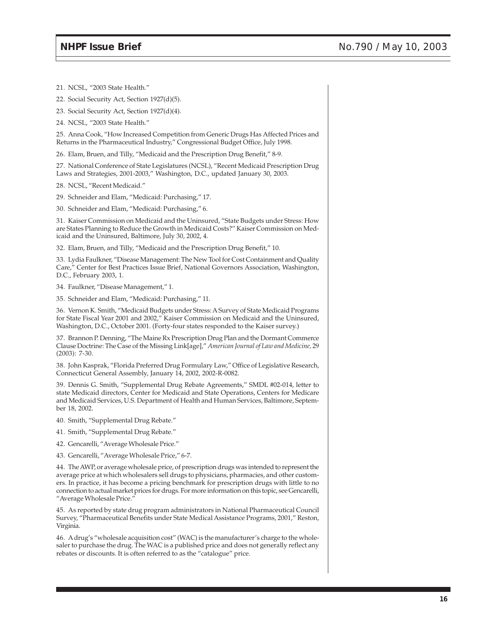21. NCSL, "2003 State Health."

22. Social Security Act, Section 1927(d)(5).

23. Social Security Act, Section 1927(d)(4).

24. NCSL, "2003 State Health."

25. Anna Cook, "How Increased Competition from Generic Drugs Has Affected Prices and Returns in the Pharmaceutical Industry," Congressional Budget Office, July 1998.

26. Elam, Bruen, and Tilly, "Medicaid and the Prescription Drug Benefit," 8-9.

27. National Conference of State Legislatures (NCSL), "Recent Medicaid Prescription Drug Laws and Strategies, 2001-2003," Washington, D.C., updated January 30, 2003.

28. NCSL, "Recent Medicaid."

29. Schneider and Elam, "Medicaid: Purchasing," 17.

30. Schneider and Elam, "Medicaid: Purchasing," 6.

31. Kaiser Commission on Medicaid and the Uninsured, "State Budgets under Stress: How are States Planning to Reduce the Growth in Medicaid Costs?" Kaiser Commission on Medicaid and the Uninsured, Baltimore, July 30, 2002, 4.

32. Elam, Bruen, and Tilly, "Medicaid and the Prescription Drug Benefit," 10.

33. Lydia Faulkner, "Disease Management: The New Tool for Cost Containment and Quality Care," Center for Best Practices Issue Brief, National Governors Association, Washington, D.C., February 2003, 1.

34. Faulkner, "Disease Management," 1.

35. Schneider and Elam, "Medicaid: Purchasing," 11.

36. Vernon K. Smith, "Medicaid Budgets under Stress: A Survey of State Medicaid Programs for State Fiscal Year 2001 and 2002," Kaiser Commission on Medicaid and the Uninsured, Washington, D.C., October 2001. (Forty-four states responded to the Kaiser survey.)

37. Brannon P. Denning, "The Maine Rx Prescription Drug Plan and the Dormant Commerce Clause Doctrine: The Case of the Missing Link[age]," *American Journal of Law and Medicine,* 29 (2003): 7-30.

38. John Kasprak, "Florida Preferred Drug Formulary Law," Office of Legislative Research, Connecticut General Assembly, January 14, 2002, 2002-R-0082.

39. Dennis G. Smith, "Supplemental Drug Rebate Agreements," SMDL #02-014, letter to state Medicaid directors, Center for Medicaid and State Operations, Centers for Medicare and Medicaid Services, U.S. Department of Health and Human Services, Baltimore, September 18, 2002.

40. Smith, "Supplemental Drug Rebate."

41. Smith, "Supplemental Drug Rebate."

42. Gencarelli, "Average Wholesale Price."

43. Gencarelli, "Average Wholesale Price," 6-7.

44. The AWP, or average wholesale price, of prescription drugs was intended to represent the average price at which wholesalers sell drugs to physicians, pharmacies, and other customers. In practice, it has become a pricing benchmark for prescription drugs with little to no connection to actual market prices for drugs. For more information on this topic, see Gencarelli, "Average Wholesale Price."

45. As reported by state drug program administrators in National Pharmaceutical Council Survey, "Pharmaceutical Benefits under State Medical Assistance Programs, 2001," Reston, Virginia.

46. A drug's "wholesale acquisition cost" (WAC) is the manufacturer's charge to the wholesaler to purchase the drug. The WAC is a published price and does not generally reflect any rebates or discounts. It is often referred to as the "catalogue" price.